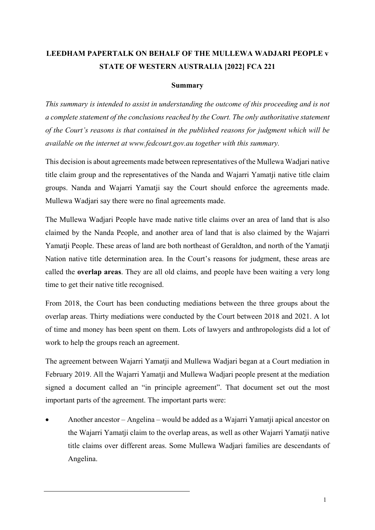## **LEEDHAM PAPERTALK ON BEHALF OF THE MULLEWA WADJARI PEOPLE v STATE OF WESTERN AUSTRALIA [2022] FCA 221**

## **Summary**

*This summary is intended to assist in understanding the outcome of this proceeding and is not a complete statement of the conclusions reached by the Court. The only authoritative statement of the Court's reasons is that contained in the published reasons for judgment which will be available on the internet at www.fedcourt.gov.au together with this summary.*

This decision is about agreements made between representatives of the Mullewa Wadjari native title claim group and the representatives of the Nanda and Wajarri Yamatji native title claim groups. Nanda and Wajarri Yamatji say the Court should enforce the agreements made. Mullewa Wadjari say there were no final agreements made.

The Mullewa Wadjari People have made native title claims over an area of land that is also claimed by the Nanda People, and another area of land that is also claimed by the Wajarri Yamatji People. These areas of land are both northeast of Geraldton, and north of the Yamatji Nation native title determination area. In the Court's reasons for judgment, these areas are called the **overlap areas**. They are all old claims, and people have been waiting a very long time to get their native title recognised.

From 2018, the Court has been conducting mediations between the three groups about the overlap areas. Thirty mediations were conducted by the Court between 2018 and 2021. A lot of time and money has been spent on them. Lots of lawyers and anthropologists did a lot of work to help the groups reach an agreement.

The agreement between Wajarri Yamatji and Mullewa Wadjari began at a Court mediation in February 2019. All the Wajarri Yamatji and Mullewa Wadjari people present at the mediation signed a document called an "in principle agreement". That document set out the most important parts of the agreement. The important parts were:

• Another ancestor – Angelina – would be added as a Wajarri Yamatji apical ancestor on the Wajarri Yamatji claim to the overlap areas, as well as other Wajarri Yamatji native title claims over different areas. Some Mullewa Wadjari families are descendants of Angelina.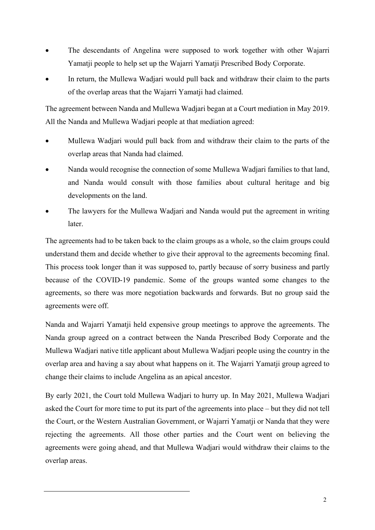- The descendants of Angelina were supposed to work together with other Wajarri Yamatji people to help set up the Wajarri Yamatji Prescribed Body Corporate.
- In return, the Mullewa Wadjari would pull back and withdraw their claim to the parts of the overlap areas that the Wajarri Yamatji had claimed.

The agreement between Nanda and Mullewa Wadjari began at a Court mediation in May 2019. All the Nanda and Mullewa Wadjari people at that mediation agreed:

- Mullewa Wadjari would pull back from and withdraw their claim to the parts of the overlap areas that Nanda had claimed.
- Nanda would recognise the connection of some Mullewa Wadjari families to that land, and Nanda would consult with those families about cultural heritage and big developments on the land.
- The lawyers for the Mullewa Wadjari and Nanda would put the agreement in writing later.

The agreements had to be taken back to the claim groups as a whole, so the claim groups could understand them and decide whether to give their approval to the agreements becoming final. This process took longer than it was supposed to, partly because of sorry business and partly because of the COVID-19 pandemic. Some of the groups wanted some changes to the agreements, so there was more negotiation backwards and forwards. But no group said the agreements were off.

Nanda and Wajarri Yamatji held expensive group meetings to approve the agreements. The Nanda group agreed on a contract between the Nanda Prescribed Body Corporate and the Mullewa Wadjari native title applicant about Mullewa Wadjari people using the country in the overlap area and having a say about what happens on it. The Wajarri Yamatji group agreed to change their claims to include Angelina as an apical ancestor.

By early 2021, the Court told Mullewa Wadjari to hurry up. In May 2021, Mullewa Wadjari asked the Court for more time to put its part of the agreements into place – but they did not tell the Court, or the Western Australian Government, or Wajarri Yamatji or Nanda that they were rejecting the agreements. All those other parties and the Court went on believing the agreements were going ahead, and that Mullewa Wadjari would withdraw their claims to the overlap areas.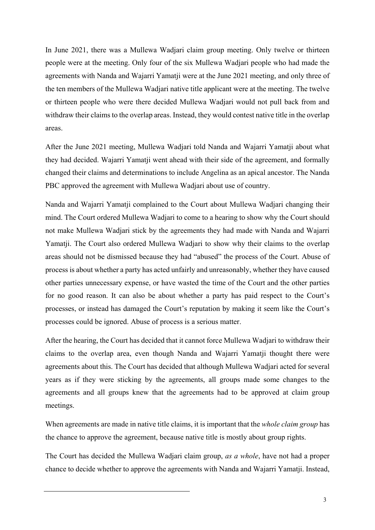In June 2021, there was a Mullewa Wadjari claim group meeting. Only twelve or thirteen people were at the meeting. Only four of the six Mullewa Wadjari people who had made the agreements with Nanda and Wajarri Yamatji were at the June 2021 meeting, and only three of the ten members of the Mullewa Wadjari native title applicant were at the meeting. The twelve or thirteen people who were there decided Mullewa Wadjari would not pull back from and withdraw their claims to the overlap areas. Instead, they would contest native title in the overlap areas.

After the June 2021 meeting, Mullewa Wadjari told Nanda and Wajarri Yamatji about what they had decided. Wajarri Yamatji went ahead with their side of the agreement, and formally changed their claims and determinations to include Angelina as an apical ancestor. The Nanda PBC approved the agreement with Mullewa Wadjari about use of country.

Nanda and Wajarri Yamatji complained to the Court about Mullewa Wadjari changing their mind. The Court ordered Mullewa Wadjari to come to a hearing to show why the Court should not make Mullewa Wadjari stick by the agreements they had made with Nanda and Wajarri Yamatji. The Court also ordered Mullewa Wadjari to show why their claims to the overlap areas should not be dismissed because they had "abused" the process of the Court. Abuse of process is about whether a party has acted unfairly and unreasonably, whether they have caused other parties unnecessary expense, or have wasted the time of the Court and the other parties for no good reason. It can also be about whether a party has paid respect to the Court's processes, or instead has damaged the Court's reputation by making it seem like the Court's processes could be ignored. Abuse of process is a serious matter.

After the hearing, the Court has decided that it cannot force Mullewa Wadjari to withdraw their claims to the overlap area, even though Nanda and Wajarri Yamatji thought there were agreements about this. The Court has decided that although Mullewa Wadjari acted for several years as if they were sticking by the agreements, all groups made some changes to the agreements and all groups knew that the agreements had to be approved at claim group meetings.

When agreements are made in native title claims, it is important that the *whole claim group* has the chance to approve the agreement, because native title is mostly about group rights.

The Court has decided the Mullewa Wadjari claim group, *as a whole*, have not had a proper chance to decide whether to approve the agreements with Nanda and Wajarri Yamatji. Instead,